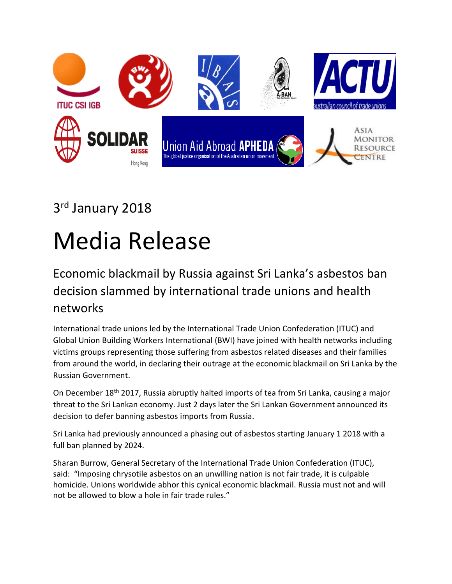

## 3<sup>rd</sup> January 2018

## Media Release

## Economic blackmail by Russia against Sri Lanka's asbestos ban decision slammed by international trade unions and health networks

International trade unions led by the International Trade Union Confederation (ITUC) and Global Union Building Workers International (BWI) have joined with health networks including victims groups representing those suffering from asbestos related diseases and their families from around the world, in declaring their outrage at the economic blackmail on Sri Lanka by the Russian Government.

On December 18<sup>th</sup> 2017, Russia abruptly halted imports of tea from Sri Lanka, causing a major threat to the Sri Lankan economy. Just 2 days later the Sri Lankan Government announced its decision to defer banning asbestos imports from Russia.

Sri Lanka had previously announced a phasing out of asbestos starting January 1 2018 with a full ban planned by 2024.

Sharan Burrow, General Secretary of the International Trade Union Confederation (ITUC), said: "Imposing chrysotile asbestos on an unwilling nation is not fair trade, it is culpable homicide. Unions worldwide abhor this cynical economic blackmail. Russia must not and will not be allowed to blow a hole in fair trade rules."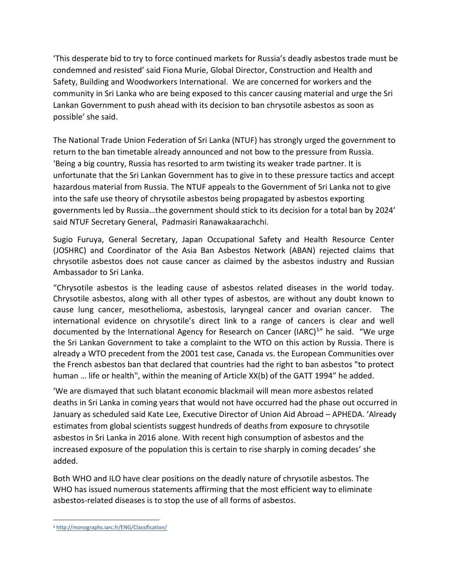'This desperate bid to try to force continued markets for Russia's deadly asbestos trade must be condemned and resisted' said Fiona Murie, Global Director, Construction and Health and Safety, Building and Woodworkers International. We are concerned for workers and the community in Sri Lanka who are being exposed to this cancer causing material and urge the Sri Lankan Government to push ahead with its decision to ban chrysotile asbestos as soon as possible' she said.

The National Trade Union Federation of Sri Lanka (NTUF) has strongly urged the government to return to the ban timetable already announced and not bow to the pressure from Russia. 'Being a big country, Russia has resorted to arm twisting its weaker trade partner. It is unfortunate that the Sri Lankan Government has to give in to these pressure tactics and accept hazardous material from Russia. The NTUF appeals to the Government of Sri Lanka not to give into the safe use theory of chrysotile asbestos being propagated by asbestos exporting governments led by Russia…the government should stick to its decision for a total ban by 2024' said NTUF Secretary General, Padmasiri Ranawakaarachchi.

Sugio Furuya, General Secretary, Japan Occupational Safety and Health Resource Center (JOSHRC) and Coordinator of the Asia Ban Asbestos Network (ABAN) rejected claims that chrysotile asbestos does not cause cancer as claimed by the asbestos industry and Russian Ambassador to Sri Lanka.

"Chrysotile asbestos is the leading cause of asbestos related diseases in the world today. Chrysotile asbestos, along with all other types of asbestos, are without any doubt known to cause lung cancer, mesothelioma, asbestosis, laryngeal cancer and ovarian cancer. The international evidence on chrysotile's direct link to a range of cancers is clear and well documented by the International Agency for Research on Cancer (IARC)<sup>1</sup>" he said. "We urge the Sri Lankan Government to take a complaint to the WTO on this action by Russia. There is already a WTO precedent from the 2001 test case, Canada vs. the European Communities over the French asbestos ban that declared that countries had the right to ban asbestos "to protect human … life or health", within the meaning of Article XX(b) of the GATT 1994" he added.

'We are dismayed that such blatant economic blackmail will mean more asbestos related deaths in Sri Lanka in coming years that would not have occurred had the phase out occurred in January as scheduled said Kate Lee, Executive Director of Union Aid Abroad – APHEDA. 'Already estimates from global scientists suggest hundreds of deaths from exposure to chrysotile asbestos in Sri Lanka in 2016 alone. With recent high consumption of asbestos and the increased exposure of the population this is certain to rise sharply in coming decades' she added.

Both WHO and ILO have clear positions on the deadly nature of chrysotile asbestos. The WHO has issued numerous statements affirming that the most efficient way to eliminate asbestos-related diseases is to stop the use of all forms of asbestos.

 $\overline{\phantom{a}}$ <sup>1</sup> <http://monographs.iarc.fr/ENG/Classification/>